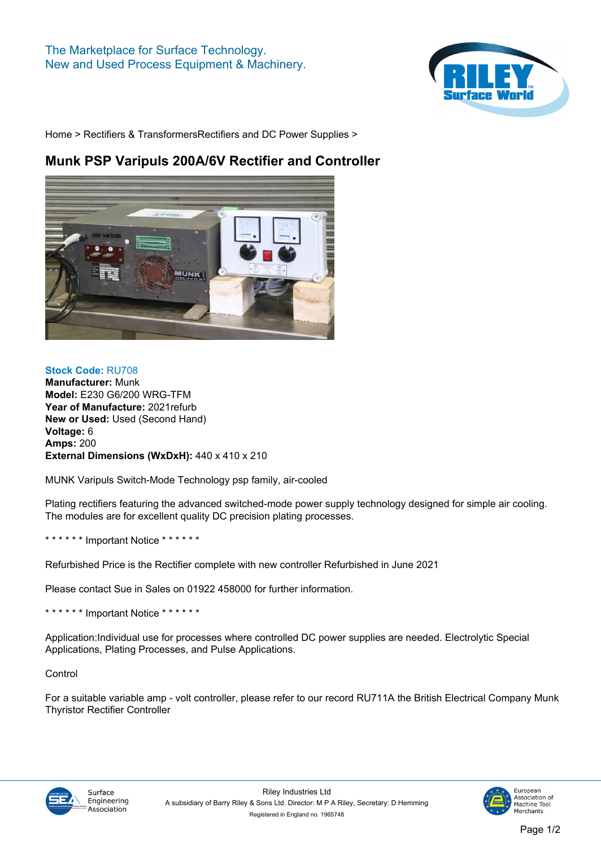

**[Home](https://www.rileysurfaceworld.co.uk) > [Rectifiers & Transformers](https://www.rileysurfaceworld.co.uk/rectifiers_transformers.asp)[Rectifiers and DC Power Supplies](https://www.rileysurfaceworld.co.uk/rectifiers_power_supplies.asp) >**

## **Munk PSP Varipuls 200A/6V Rectifier and Controller**



## **Stock Code: RU708 Manufacturer: Munk Model: E230 G6/200 WRG-TFM Year of Manufacture: 2021refurb New or Used: Used (Second Hand) Voltage: 6 Amps: 200 External Dimensions (WxDxH): 440 x 410 x 210**

**MUNK Varipuls Switch-Mode Technology psp family, air-cooled**

**Plating rectifiers featuring the advanced switched-mode power supply technology designed for simple air cooling. The modules are for excellent quality DC precision plating processes.**

**\* \* \* \* \* \* Important Notice \* \* \* \* \* \***

**Refurbished Price is the Rectifier complete with new controller Refurbished in June 2021**

**Please contact Sue in Sales on 01922 458000 for further information.**

**\* \* \* \* \* \* Important Notice \* \* \* \* \* \***

**Application:Individual use for processes where controlled DC power supplies are needed. Electrolytic Special Applications, Plating Processes, and Pulse Applications.**

**Control**

**For a suitable variable amp - volt controller, please refer to our record [RU711A](/machines/27491.htm) the British Electrical Company Munk Thyristor Rectifier Controller**